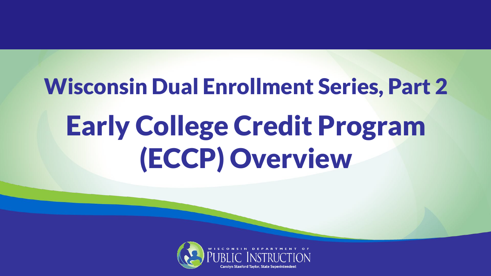# Wisconsin Dual Enrollment Series, Part 2 Early College Credit Program (ECCP) Overview

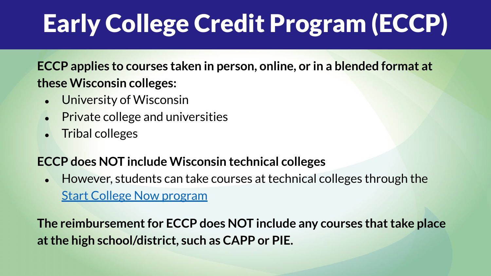# Early College Credit Program (ECCP)

**ECCP applies to courses taken in person, online, or in a blended format at these Wisconsin colleges:**

- University of Wisconsin
- **Private college and universities**
- **Tribal colleges**

#### **ECCP does NOT include Wisconsin technical colleges**

● However, students can take courses at technical colleges through the [Start College Now program](https://mywtcs.wtcsystem.edu/educational-services/career-prep-dual-enrollment/start-college-now/)

**The reimbursement for ECCP does NOT include any courses that take place at the high school/district, such as CAPP or PIE.**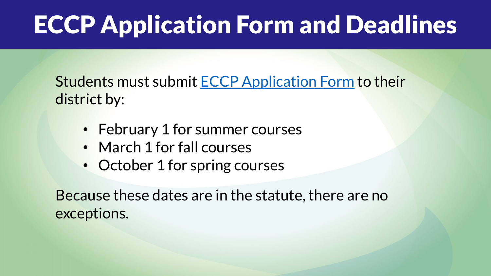## ECCP Application Form and Deadlines

Students must submit [ECCP Application Form](https://dpi.wi.gov/dual-enrollment/eccp/application) to their district by:

- February 1 for summer courses
- March 1 for fall courses
- October 1 for spring courses

Because these dates are in the statute, there are no exceptions.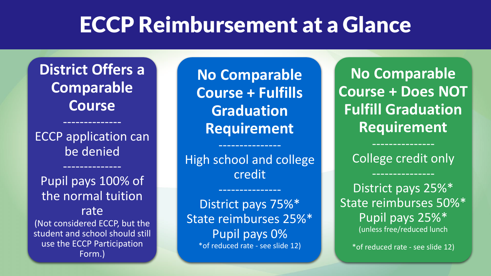#### ECCP Reimbursement at a Glance

**District Offers a Comparable Course**

ECCP application can be denied

--------------

--------------

Pupil pays 100% of the normal tuition rate (Not considered ECCP, but the student and school should still use the ECCP Participation Form.)

**No Comparable Course + Fulfills Graduation Requirement**

High school and college credit

---------------

---------------

District pays 75%\* State reimburses 25%\* Pupil pays 0% \*of reduced rate - see slide 12)

**No Comparable Course + Does NOT Fulfill Graduation Requirement**

College credit only

District pays 25%\* State reimburses 50%\* Pupil pays 25%\* (unless free/reduced lunch

\*of reduced rate - see slide 12)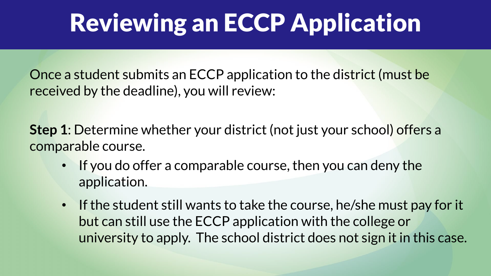#### Reviewing an ECCP Application

Once a student submits an ECCP application to the district (must be received by the deadline), you will review:

**Step 1**: Determine whether your district (not just your school) offers a comparable course.

- If you do offer a comparable course, then you can deny the application.
- If the student still wants to take the course, he/she must pay for it but can still use the ECCP application with the college or university to apply. The school district does not sign it in this case.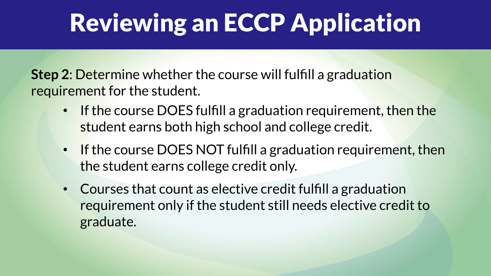#### Reviewing an ECCP Application

**Step 2**: Determine whether the course will fulfill a graduation requirement for the student.

- If the course DOES fulfill a graduation requirement, then the student earns both high school and college credit.
- If the course DOES NOT fulfill a graduation requirement, then the student earns college credit only.
- Courses that count as elective credit fulfill a graduation requirement only if the student still needs elective credit to graduate.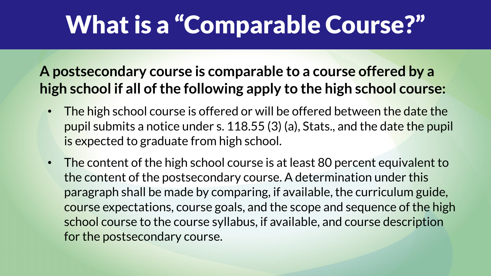### What is a "Comparable Course?"

#### **A postsecondary course is comparable to a course offered by a high school if all of the following apply to the high school course:**

- The high school course is offered or will be offered between the date the pupil submits a notice under s. 118.55 (3) (a), Stats., and the date the pupil is expected to graduate from high school.
- The content of the high school course is at least 80 percent equivalent to the content of the postsecondary course. A determination under this paragraph shall be made by comparing, if available, the curriculum guide, course expectations, course goals, and the scope and sequence of the high school course to the course syllabus, if available, and course description for the postsecondary course.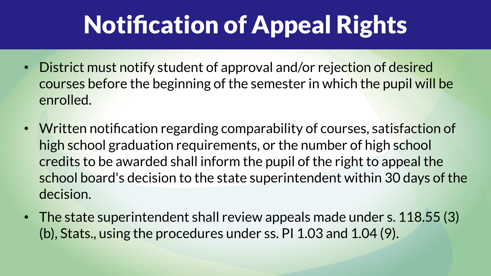## Notification of Appeal Rights

- District must notify student of approval and/or rejection of desired courses before the beginning of the semester in which the pupil will be enrolled.
- Written notification regarding comparability of courses, satisfaction of high school graduation requirements, or the number of high school credits to be awarded shall inform the pupil of the right to appeal the school board's decision to the state superintendent within 30 days of the decision.
- The state superintendent shall review appeals made under s. 118.55 (3) (b), Stats., using the procedures under ss. PI 1.03 and 1.04 (9).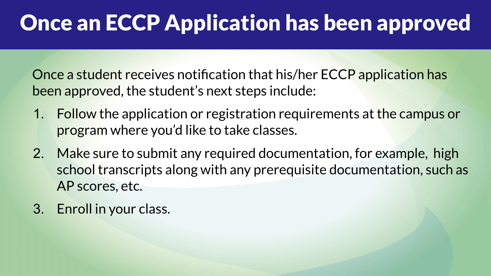#### Once an ECCP Application has been approved

Once a student receives notification that his/her ECCP application has been approved, the student's next steps include:

- 1. Follow the application or registration requirements at the campus or program where you'd like to take classes.
- 2. Make sure to submit any required documentation, for example, high school transcripts along with any prerequisite documentation, such as AP scores, etc.
- 3. Enroll in your class.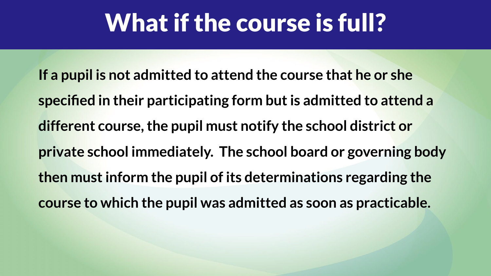#### What if the course is full?

**If a pupil is not admitted to attend the course that he or she specified in their participating form but is admitted to attend a different course, the pupil must notify the school district or private school immediately. The school board or governing body then must inform the pupil of its determinations regarding the course to which the pupil was admitted as soon as practicable.**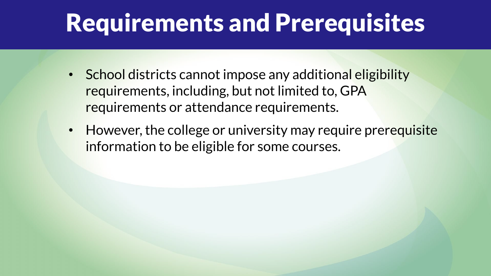#### Requirements and Prerequisites

- School districts cannot impose any additional eligibility requirements, including, but not limited to, GPA requirements or attendance requirements.
- However, the college or university may require prerequisite information to be eligible for some courses.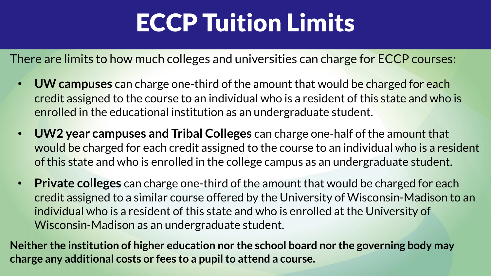#### ECCP Tuition Limits

There are limits to how much colleges and universities can charge for ECCP courses:

- **UW campuses** can charge one-third of the amount that would be charged for each credit assigned to the course to an individual who is a resident of this state and who is enrolled in the educational institution as an undergraduate student.
- **UW2 year campuses and Tribal Colleges** can charge one-half of the amount that would be charged for each credit assigned to the course to an individual who is a resident of this state and who is enrolled in the college campus as an undergraduate student.
- **Private colleges** can charge one-third of the amount that would be charged for each credit assigned to a similar course offered by the University of Wisconsin-Madison to an individual who is a resident of this state and who is enrolled at the University of Wisconsin-Madison as an undergraduate student.

**Neither the institution of higher education nor the school board nor the governing body may charge any additional costs or fees to a pupil to attend a course.**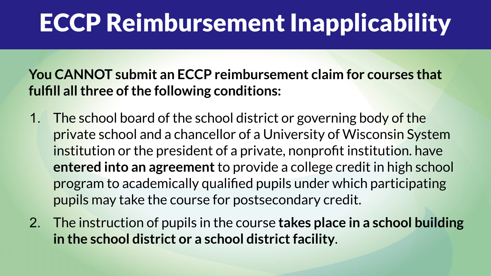#### ECCP Reimbursement Inapplicability

#### **You CANNOT submit an ECCP reimbursement claim for courses that fulfill all three of the following conditions:**

- 1. The school board of the school district or governing body of the private school and a chancellor of a University of Wisconsin System institution or the president of a private, nonprofit institution. have **entered into an agreement** to provide a college credit in high school program to academically qualified pupils under which participating pupils may take the course for postsecondary credit.
- 2. The instruction of pupils in the course **takes place in a school building in the school district or a school district facility**.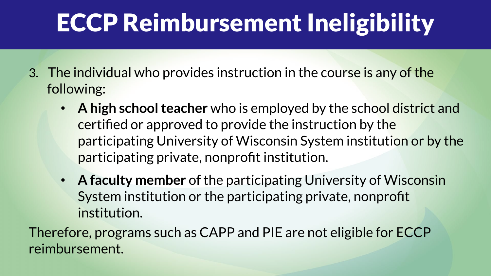### ECCP Reimbursement Ineligibility

- 3. The individual who provides instruction in the course is any of the following:
	- **A high school teacher** who is employed by the school district and certified or approved to provide the instruction by the participating University of Wisconsin System institution or by the participating private, nonprofit institution.
	- **A faculty member** of the participating University of Wisconsin System institution or the participating private, nonprofit institution.

Therefore, programs such as CAPP and PIE are not eligible for ECCP reimbursement.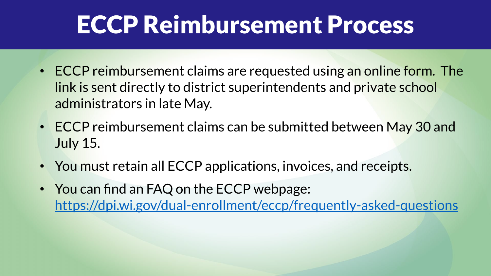#### ECCP Reimbursement Process

- ECCP reimbursement claims are requested using an online form. The link is sent directly to district superintendents and private school administrators in late May.
- ECCP reimbursement claims can be submitted between May 30 and July 15.
- You must retain all ECCP applications, invoices, and receipts.
- You can find an FAQ on the ECCP webpage: <https://dpi.wi.gov/dual-enrollment/eccp/frequently-asked-questions>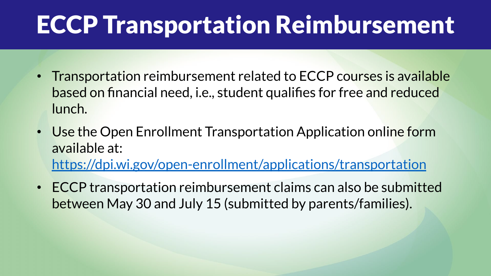#### ECCP Transportation Reimbursement

- Transportation reimbursement related to ECCP courses is available based on financial need, i.e., student qualifies for free and reduced lunch.
- Use the Open Enrollment Transportation Application online form available at:

<https://dpi.wi.gov/open-enrollment/applications/transportation>

• ECCP transportation reimbursement claims can also be submitted between May 30 and July 15 (submitted by parents/families).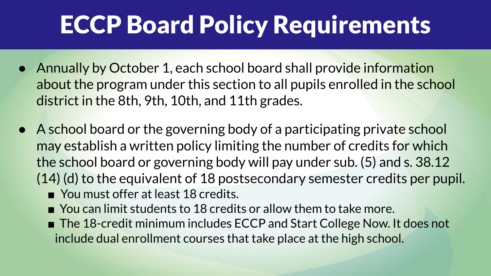## ECCP Board Policy Requirements

- Annually by October 1, each school board shall provide information about the program under this section to all pupils enrolled in the school district in the 8th, 9th, 10th, and 11th grades.
- A school board or the governing body of a participating private school may establish a written policy limiting the number of credits for which the school board or governing body will pay under sub. (5) and s. 38.12 (14) (d) to the equivalent of 18 postsecondary semester credits per pupil.
	- You must offer at least 18 credits.
	- $\blacksquare$  You can limit students to 18 credits or allow them to take more.
	- The 18-credit minimum includes ECCP and Start College Now. It does not include dual enrollment courses that take place at the high school.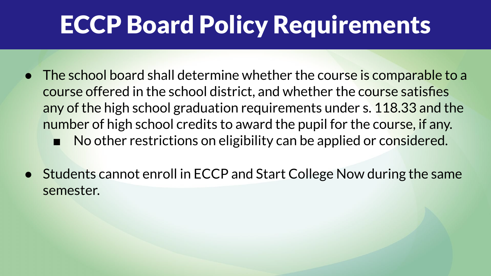### ECCP Board Policy Requirements

- The school board shall determine whether the course is comparable to a course offered in the school district, and whether the course satisfies any of the high school graduation requirements under s. 118.33 and the number of high school credits to award the pupil for the course, if any. ■ No other restrictions on eligibility can be applied or considered.
- **Students cannot enroll in ECCP and Start College Now during the same** semester.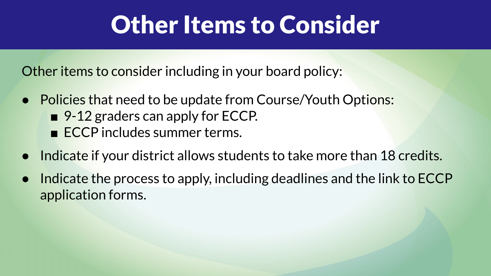#### **Other Items to Consider**

Other items to consider including in your board policy:

- Policies that need to be update from Course/Youth Options: ■ 9-12 graders can apply for ECCP.
	- ECCP includes summer terms.
- Indicate if your district allows students to take more than 18 credits.
- Indicate the process to apply, including deadlines and the link to ECCP application forms.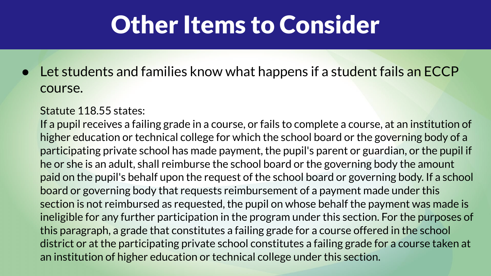#### **Other Items to Consider**

● Let students and families know what happens if a student fails an ECCP course.

#### Statute 118.55 states:

If a pupil receives a failing grade in a course, or fails to complete a course, at an institution of higher education or technical college for which the school board or the governing body of a participating private school has made payment, the pupil's parent or guardian, or the pupil if he or she is an adult, shall reimburse the school board or the governing body the amount paid on the pupil's behalf upon the request of the school board or governing body. If a school board or governing body that requests reimbursement of a payment made under this section is not reimbursed as requested, the pupil on whose behalf the payment was made is ineligible for any further participation in the program under this section. For the purposes of this paragraph, a grade that constitutes a failing grade for a course offered in the school district or at the participating private school constitutes a failing grade for a course taken at an institution of higher education or technical college under this section.